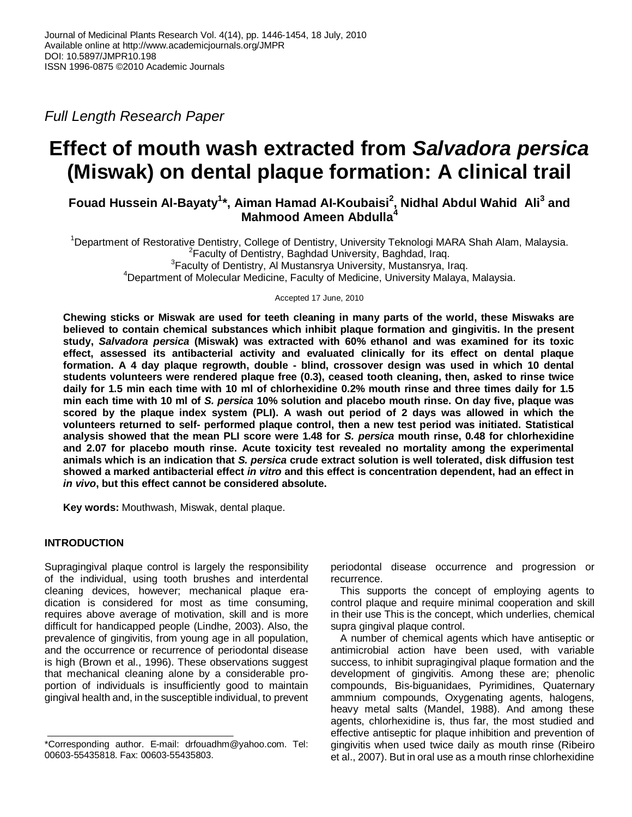*Full Length Research Paper*

# **Effect of mouth wash extracted from** *Salvadora persica* **(Miswak) on dental plaque formation: A clinical trail**

**Fouad Hussein Al-Bayaty<sup>1</sup> \*, Aiman Hamad AI-Koubaisi<sup>2</sup> , Nidhal Abdul Wahid Ali<sup>3</sup> and Mahmood Ameen Abdulla<sup>4</sup>**

<sup>1</sup>Department of Restorative Dentistry, College of Dentistry, University Teknologi MARA Shah Alam, Malaysia. <sup>2</sup> Faculty of Dentistry, Baghdad University, Baghdad, Iraq. <sup>3</sup> Faculty of Dentistry, Al Mustansrya University, Mustansrya, Iraq. <sup>4</sup>Department of Molecular Medicine, Faculty of Medicine, University Malaya, Malaysia.

Accepted 17 June, 2010

**Chewing sticks or Miswak are used for teeth cleaning in many parts of the world, these Miswaks are believed to contain chemical substances which inhibit plaque formation and gingivitis. In the present study,** *Salvadora persica* **(Miswak) was extracted with 60% ethanol and was examined for its toxic effect, assessed its antibacterial activity and evaluated clinically for its effect on dental plaque formation. A 4 day plaque regrowth, double - blind, crossover design was used in which 10 dental students volunteers were rendered plaque free (0.3), ceased tooth cleaning, then, asked to rinse twice daily for 1.5 min each time with 10 ml of chlorhexidine 0.2% mouth rinse and three times daily for 1.5 min each time with 10 ml of** *S. persica* **10% solution and placebo mouth rinse. On day five, plaque was scored by the plaque index system (PLI). A wash out period of 2 days was allowed in which the volunteers returned to self- performed plaque control, then a new test period was initiated. Statistical analysis showed that the mean PLI score were 1.48 for** *S. persica* **mouth rinse, 0.48 for chlorhexidine and 2.07 for placebo mouth rinse. Acute toxicity test revealed no mortality among the experimental animals which is an indication that** *S. persica* **crude extract solution is well tolerated, disk diffusion test showed a marked antibacterial effect** *in vitro* **and this effect is concentration dependent, had an effect in**  *in vivo***, but this effect cannot be considered absolute.** 

**Key words:** Mouthwash, Miswak, dental plaque.

# **INTRODUCTION**

Supragingival plaque control is largely the responsibility of the individual, using tooth brushes and interdental cleaning devices, however; mechanical plaque eradication is considered for most as time consuming, requires above average of motivation, skill and is more difficult for handicapped people (Lindhe, 2003). Also, the prevalence of gingivitis, from young age in all population, and the occurrence or recurrence of periodontal disease is high (Brown et al., 1996). These observations suggest that mechanical cleaning alone by a considerable proportion of individuals is insufficiently good to maintain gingival health and, in the susceptible individual, to prevent periodontal disease occurrence and progression or recurrence.

This supports the concept of employing agents to control plaque and require minimal cooperation and skill in their use This is the concept, which underlies, chemical supra gingival plaque control.

A number of chemical agents which have antiseptic or antimicrobial action have been used, with variable success, to inhibit supragingival plaque formation and the development of gingivitis. Among these are; phenolic compounds, Bis-biguanidaes, Pyrimidines, Quaternary ammnium compounds, Oxygenating agents, halogens, heavy metal salts (Mandel, 1988). And among these agents, chlorhexidine is, thus far, the most studied and effective antiseptic for plaque inhibition and prevention of gingivitis when used twice daily as mouth rinse (Ribeiro et al., 2007). But in oral use as a mouth rinse chlorhexidine

<sup>\*</sup>Corresponding author. E-mail: drfouadhm@yahoo.com. Tel: 00603-55435818. Fax: 00603-55435803.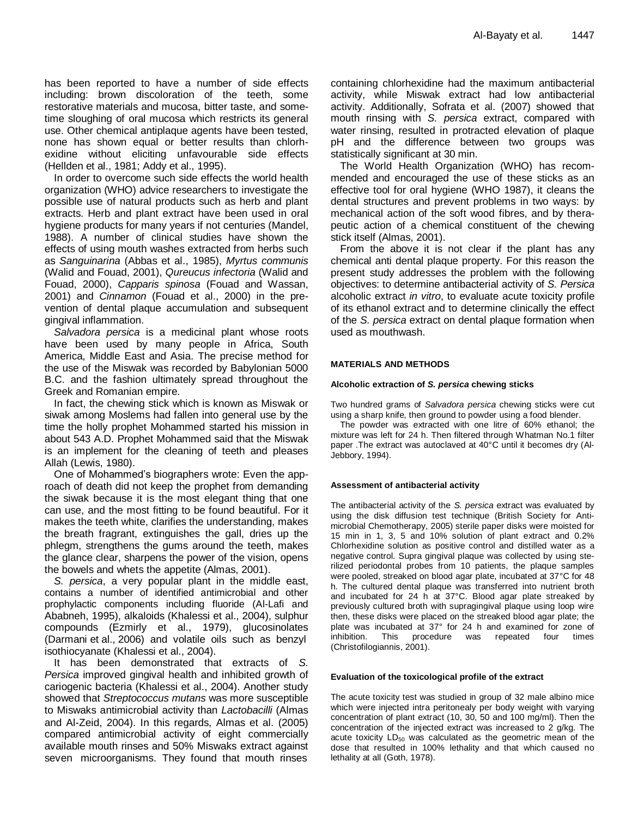has been reported to have a number of side effects including: brown discoloration of the teeth, some restorative materials and mucosa, bitter taste, and sometime sloughing of oral mucosa which restricts its general use. Other chemical antiplaque agents have been tested, none has shown equal or better results than chlorhexidine without eliciting unfavourable side effects (Hellden et al., 1981; Addy et al., 1995).

In order to overcome such side effects the world health organization (WHO) advice researchers to investigate the possible use of natural products such as herb and plant extracts. Herb and plant extract have been used in oral hygiene products for many years if not centuries (Mandel, 1988). A number of clinical studies have shown the effects of using mouth washes extracted from herbs such as *Sanguinarina* (Abbas et al., 1985), *Myrtus communis* (Walid and Fouad, 2001), *Qureucus infectoria* (Walid and Fouad, 2000), *Capparis spinosa* (Fouad and Wassan, 2001) and *Cinnamon* (Fouad et al., 2000) in the prevention of dental plaque accumulation and subsequent gingival inflammation.

*Salvadora persica* is a medicinal plant whose roots have been used by many people in Africa, South America, Middle East and Asia. The precise method for the use of the Miswak was recorded by Babylonian 5000 B.C. and the fashion ultimately spread throughout the Greek and Romanian empire.

In fact, the chewing stick which is known as Miswak or siwak among Moslems had fallen into general use by the time the holly prophet Mohammed started his mission in about 543 A.D. Prophet Mohammed said that the Miswak is an implement for the cleaning of teeth and pleases Allah (Lewis, 1980).

One of Mohammed's biographers wrote: Even the approach of death did not keep the prophet from demanding the siwak because it is the most elegant thing that one can use, and the most fitting to be found beautiful. For it makes the teeth white, clarifies the understanding, makes the breath fragrant, extinguishes the gall, dries up the phlegm, strengthens the gums around the teeth, makes the glance clear, sharpens the power of the vision, opens the bowels and whets the appetite (Almas, 2001).

*S. persica*, a very popular plant in the middle east, contains a number of identified antimicrobial and other prophylactic components including fluoride (Al-Lafi and Ababneh, 1995), alkaloids (Khalessi et al., 2004), sulphur compounds (Ezmirly et al., 1979), glucosinolates (Darmani et al., 2006) and volatile oils such as benzyl isothiocyanate (Khalessi et al., 2004).

It has been demonstrated that extracts of *S. Persica* improved gingival health and inhibited growth of cariogenic bacteria (Khalessi et al., 2004). Another study showed that *Streptococcus mutans* was more susceptible to Miswaks antimicrobial activity than *Lactobacilli* (Almas and Al-Zeid, 2004). In this regards, Almas et al. (2005) compared antimicrobial activity of eight commercially available mouth rinses and 50% Miswaks extract against seven microorganisms. They found that mouth rinses

containing chlorhexidine had the maximum antibacterial activity, while Miswak extract had low antibacterial activity. Additionally, Sofrata et al. (2007) showed that mouth rinsing with *S. persica* extract, compared with water rinsing, resulted in protracted elevation of plaque pH and the difference between two groups was statistically significant at 30 min.

The World Health Organization (WHO) has recommended and encouraged the use of these sticks as an effective tool for oral hygiene (WHO 1987), it cleans the dental structures and prevent problems in two ways: by mechanical action of the soft wood fibres, and by therapeutic action of a chemical constituent of the chewing stick itself (Almas, 2001).

From the above it is not clear if the plant has any chemical anti dental plaque property. For this reason the present study addresses the problem with the following objectives: to determine antibacterial activity of *S. Persica* alcoholic extract *in vitro*, to evaluate acute toxicity profile of its ethanol extract and to determine clinically the effect of the *S. persica* extract on dental plaque formation when used as mouthwash.

## **MATERIALS AND METHODS**

## **Alcoholic extraction of** *S. persica* **chewing sticks**

Two hundred grams of *Salvadora persica* chewing sticks were cut using a sharp knife, then ground to powder using a food blender.

The powder was extracted with one litre of 60% ethanol; the mixture was left for 24 h. Then filtered through Whatman No.1 filter paper .The extract was autoclaved at 40°C until it becomes dry (Al-Jebbory, 1994).

## **Assessment of antibacterial activity**

The antibacterial activity of the *S. persica* extract was evaluated by using the disk diffusion test technique (British Society for Antimicrobial Chemotherapy, 2005) sterile paper disks were moisted for 15 min in 1, 3, 5 and 10% solution of plant extract and 0.2% Chlorhexidine solution as positive control and distilled water as a negative control. Supra gingival plaque was collected by using sterilized periodontal probes from 10 patients, the plaque samples were pooled, streaked on blood agar plate, incubated at 37°C for 48 h. The cultured dental plaque was transferred into nutrient broth and incubated for 24 h at 37°C. Blood agar plate streaked by previously cultured broth with supragingival plaque using loop wire then, these disks were placed on the streaked blood agar plate; the plate was incubated at 37° for 24 h and examined for zone of inhibition. This procedure was repeated four times (Christofilogiannis, 2001).

## **Evaluation of the toxicological profile of the extract**

The acute toxicity test was studied in group of 32 male albino mice which were injected intra peritonealy per body weight with varying concentration of plant extract (10, 30, 50 and 100 mg/ml). Then the concentration of the injected extract was increased to 2 g/kg. The acute toxicity  $LD_{50}$  was calculated as the geometric mean of the dose that resulted in 100% lethality and that which caused no lethality at all (Goth, 1978).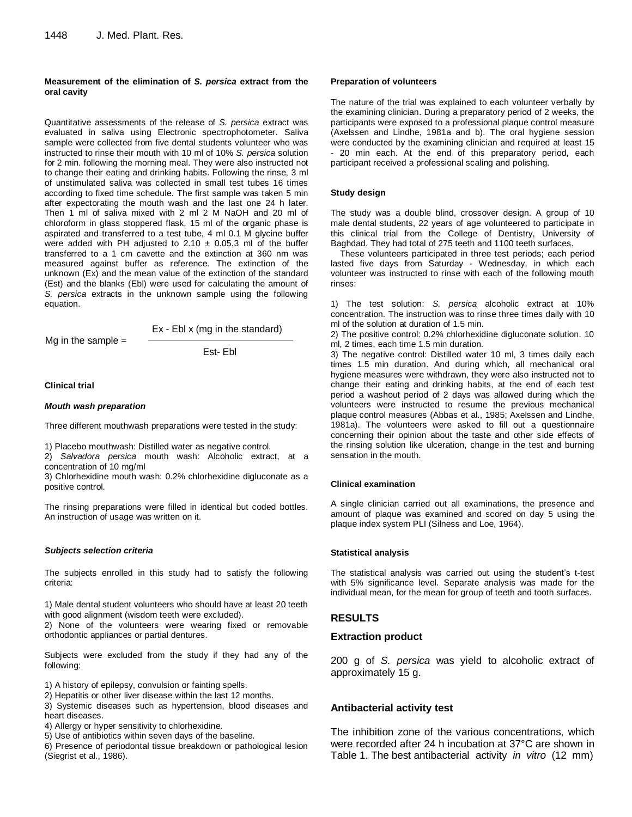#### **Measurement of the elimination of** *S. persica* **extract from the oral cavity**

Quantitative assessments of the release of *S. persica* extract was evaluated in saliva using Electronic spectrophotometer. Saliva sample were collected from five dental students volunteer who was instructed to rinse their mouth with 10 ml of 10% *S. persica* solution for 2 min. following the morning meal. They were also instructed not to change their eating and drinking habits. Following the rinse, 3 ml of unstimulated saliva was collected in small test tubes 16 times according to fixed time schedule. The first sample was taken 5 min after expectorating the mouth wash and the last one 24 h later. Then 1 ml of saliva mixed with 2 ml 2 M NaOH and 20 ml of chloroform in glass stoppered flask, 15 ml of the organic phase is aspirated and transferred to a test tube, 4 ml 0.1 M glycine buffer were added with PH adjusted to 2.10  $\pm$  0.05.3 ml of the buffer transferred to a 1 cm cavette and the extinction at 360 nm was measured against buffer as reference. The extinction of the unknown (Ex) and the mean value of the extinction of the standard (Est) and the blanks (Ebl) were used for calculating the amount of *S. persica* extracts in the unknown sample using the following equation.

Ex - Ebl x (mg in the standard)

Mg in the sample  $=$ 

Est- Ebl

#### **Clinical trial**

#### *Mouth wash preparation*

Three different mouthwash preparations were tested in the study:

1) Placebo mouthwash: Distilled water as negative control.

2) *Salvadora persica* mouth wash: Alcoholic extract, at a concentration of 10 mg/ml

3) Chlorhexidine mouth wash: 0.2% chlorhexidine digluconate as a positive control.

The rinsing preparations were filled in identical but coded bottles. An instruction of usage was written on it.

## *Subjects selection criteria*

The subjects enrolled in this study had to satisfy the following criteria:

1) Male dental student volunteers who should have at least 20 teeth with good alignment (wisdom teeth were excluded).

2) None of the volunteers were wearing fixed or removable orthodontic appliances or partial dentures.

Subjects were excluded from the study if they had any of the following:

1) A history of epilepsy, convulsion or fainting spells.

2) Hepatitis or other liver disease within the last 12 months.

3) Systemic diseases such as hypertension, blood diseases and heart diseases.

4) Allergy or hyper sensitivity to chlorhexidine.

5) Use of antibiotics within seven days of the baseline.

6) Presence of periodontal tissue breakdown or pathological lesion (Siegrist et al., 1986).

#### **Preparation of volunteers**

The nature of the trial was explained to each volunteer verbally by the examining clinician. During a preparatory period of 2 weeks, the participants were exposed to a professional plaque control measure (Axelssen and Lindhe, 1981a and b). The oral hygiene session were conducted by the examining clinician and required at least 15 - 20 min each. At the end of this preparatory period, each participant received a professional scaling and polishing.

#### **Study design**

The study was a double blind, crossover design. A group of 10 male dental students, 22 years of age volunteered to participate in this clinical trial from the College of Dentistry, University of Baghdad. They had total of 275 teeth and 1100 teeth surfaces.

These volunteers participated in three test periods; each period lasted five days from Saturday - Wednesday, in which each volunteer was instructed to rinse with each of the following mouth rinses:

1) The test solution: *S. persica* alcoholic extract at 10% concentration. The instruction was to rinse three times daily with 10 ml of the solution at duration of 1.5 min.

2) The positive control: 0.2% chlorhexidine digluconate solution. 10 ml, 2 times, each time 1.5 min duration.

3) The negative control: Distilled water 10 ml, 3 times daily each times 1.5 min duration. And during which, all mechanical oral hygiene measures were withdrawn, they were also instructed not to change their eating and drinking habits, at the end of each test period a washout period of 2 days was allowed during which the volunteers were instructed to resume the previous mechanical plaque control measures (Abbas et al., 1985; Axelssen and Lindhe, 1981a). The volunteers were asked to fill out a questionnaire concerning their opinion about the taste and other side effects of the rinsing solution like ulceration, change in the test and burning sensation in the mouth.

## **Clinical examination**

A single clinician carried out all examinations, the presence and amount of plaque was examined and scored on day 5 using the plaque index system PLI (Silness and Loe, 1964).

## **Statistical analysis**

The statistical analysis was carried out using the student's t-test with 5% significance level. Separate analysis was made for the individual mean, for the mean for group of teeth and tooth surfaces.

## **RESULTS**

## **Extraction product**

200 g of *S. persica* was yield to alcoholic extract of approximately 15 g.

## **Antibacterial activity test**

The inhibition zone of the various concentrations, which were recorded after 24 h incubation at 37°C are shown in Table 1. The best antibacterial activity *in vitro* (12 mm)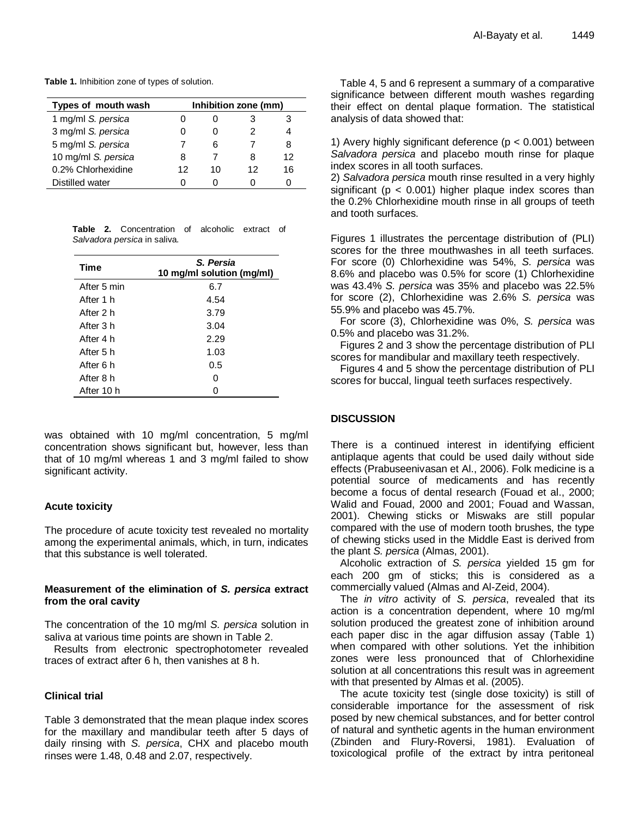**Table 1.** Inhibition zone of types of solution.

| Types of mouth wash | Inhibition zone (mm) |    |    |    |  |
|---------------------|----------------------|----|----|----|--|
| 1 mg/ml S. persica  |                      |    |    | 3  |  |
| 3 mg/ml S. persica  |                      |    | 2  |    |  |
| 5 mg/ml S. persica  |                      | հ  |    | 8  |  |
| 10 mg/ml S. persica | 8                    |    | 8  | 12 |  |
| 0.2% Chlorhexidine  | 12                   | 10 | 12 | 16 |  |
| Distilled water     |                      |    |    |    |  |

|  | <b>Table 2.</b> Concentration of alcoholic extract of |  |  |
|--|-------------------------------------------------------|--|--|
|  | Salvadora persica in saliva.                          |  |  |

| Time        | S. Persia<br>10 mg/ml solution (mg/ml) |  |  |  |  |
|-------------|----------------------------------------|--|--|--|--|
| After 5 min | 6.7                                    |  |  |  |  |
| After 1 h   | 4.54                                   |  |  |  |  |
| After 2 h   | 3.79                                   |  |  |  |  |
| After 3 h   | 3.04                                   |  |  |  |  |
| After 4 h   | 2.29                                   |  |  |  |  |
| After 5 h   | 1.03                                   |  |  |  |  |
| After 6 h   | 0.5                                    |  |  |  |  |
| After 8 h   | 0                                      |  |  |  |  |
| After 10 h  | O                                      |  |  |  |  |

was obtained with 10 mg/ml concentration, 5 mg/ml concentration shows significant but, however, less than that of 10 mg/ml whereas 1 and 3 mg/ml failed to show significant activity.

## **Acute toxicity**

The procedure of acute toxicity test revealed no mortality among the experimental animals, which, in turn, indicates that this substance is well tolerated.

# **Measurement of the elimination of** *S. persica* **extract from the oral cavity**

The concentration of the 10 mg/ml *S. persica* solution in saliva at various time points are shown in Table 2.

Results from electronic spectrophotometer revealed traces of extract after 6 h, then vanishes at 8 h.

## **Clinical trial**

Table 3 demonstrated that the mean plaque index scores for the maxillary and mandibular teeth after 5 days of daily rinsing with *S. persica*, CHX and placebo mouth rinses were 1.48, 0.48 and 2.07, respectively.

Table 4, 5 and 6 represent a summary of a comparative significance between different mouth washes regarding their effect on dental plaque formation. The statistical analysis of data showed that:

1) Avery highly significant deference ( $p < 0.001$ ) between *Salvadora persica* and placebo mouth rinse for plaque index scores in all tooth surfaces.

2) *Salvadora persica* mouth rinse resulted in a very highly significant ( $p < 0.001$ ) higher plaque index scores than the 0.2% Chlorhexidine mouth rinse in all groups of teeth and tooth surfaces.

Figures 1 illustrates the percentage distribution of (PLI) scores for the three mouthwashes in all teeth surfaces. For score (0) Chlorhexidine was 54%, *S. persica* was 8.6% and placebo was 0.5% for score (1) Chlorhexidine was 43.4% *S. persica* was 35% and placebo was 22.5% for score (2), Chlorhexidine was 2.6% *S. persica* was 55.9% and placebo was 45.7%.

For score (3), Chlorhexidine was 0%, *S. persica* was 0.5% and placebo was 31.2%.

Figures 2 and 3 show the percentage distribution of PLI scores for mandibular and maxillary teeth respectively.

Figures 4 and 5 show the percentage distribution of PLI scores for buccal, lingual teeth surfaces respectively.

# **DISCUSSION**

There is a continued interest in identifying efficient antiplaque agents that could be used daily without side effects (Prabuseenivasan et Al., 2006). Folk medicine is a potential source of medicaments and has recently become a focus of dental research (Fouad et al., 2000; Walid and Fouad, 2000 and 2001; Fouad and Wassan, 2001). Chewing sticks or Miswaks are still popular compared with the use of modern tooth brushes, the type of chewing sticks used in the Middle East is derived from the plant *S. persica* (Almas, 2001).

Alcoholic extraction of *S. persica* yielded 15 gm for each 200 gm of sticks; this is considered as a commercially valued (Almas and Al-Zeid, 2004).

The *in vitro* activity of *S. persica*, revealed that its action is a concentration dependent, where 10 mg/ml solution produced the greatest zone of inhibition around each paper disc in the agar diffusion assay (Table 1) when compared with other solutions. Yet the inhibition zones were less pronounced that of Chlorhexidine solution at all concentrations this result was in agreement with that presented by Almas et al. (2005).

The acute toxicity test (single dose toxicity) is still of considerable importance for the assessment of risk posed by new chemical substances, and for better control of natural and synthetic agents in the human environment (Zbinden and Flury-Roversi, 1981). Evaluation of toxicological profile of the extract by intra peritoneal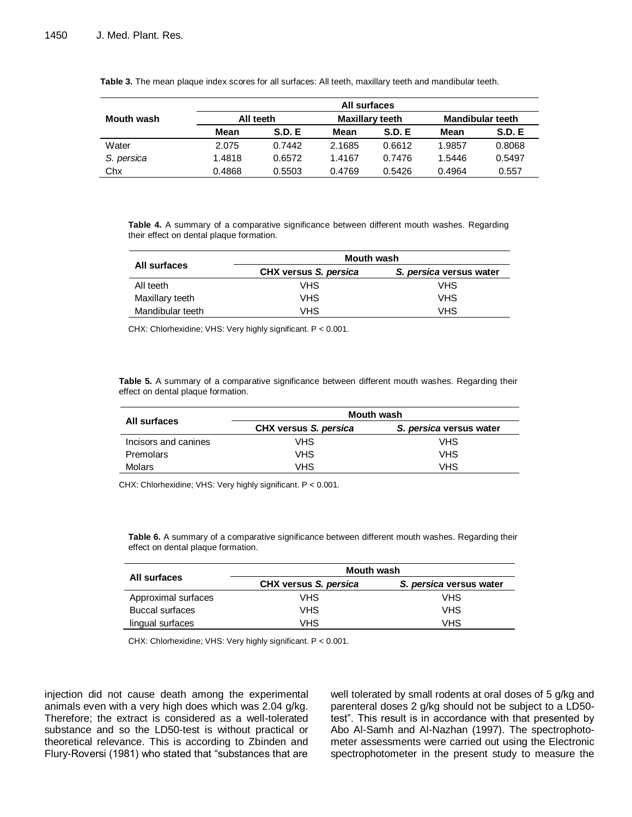|            |           |               | All surfaces                               |               |        |               |
|------------|-----------|---------------|--------------------------------------------|---------------|--------|---------------|
| Mouth wash | All teeth |               | <b>Maxillary teeth</b><br>Mandibular teeth |               |        |               |
|            | Mean      | <b>S.D. E</b> | Mean                                       | <b>S.D. E</b> | Mean   | <b>S.D. E</b> |
| Water      | 2.075     | 0.7442        | 2.1685                                     | 0.6612        | 1.9857 | 0.8068        |
| S. persica | 1.4818    | 0.6572        | 1.4167                                     | 0.7476        | 1.5446 | 0.5497        |
| Chx        | 0.4868    | 0.5503        | 0.4769                                     | 0.5426        | 0.4964 | 0.557         |

**Table 3.** The mean plaque index scores for all surfaces: All teeth, maxillary teeth and mandibular teeth.

**Table 4.** A summary of a comparative significance between different mouth washes. Regarding their effect on dental plaque formation.

|                  | <b>Mouth wash</b>     |                         |
|------------------|-----------------------|-------------------------|
| All surfaces     | CHX versus S. persica | S. persica versus water |
| All teeth        | VHS.                  | VHS                     |
| Maxillary teeth  | VHS.                  | <b>VHS</b>              |
| Mandibular teeth | VHS.                  | <b>VHS</b>              |

CHX: Chlorhexidine; VHS: Very highly significant. P < 0.001.

**Table 5.** A summary of a comparative significance between different mouth washes. Regarding their effect on dental plaque formation.

|                      | <b>Mouth wash</b>     |                         |  |  |
|----------------------|-----------------------|-------------------------|--|--|
| All surfaces         | CHX versus S. persica | S. persica versus water |  |  |
| Incisors and canines | VHS                   | <b>VHS</b>              |  |  |
| Premolars            | VHS                   | <b>VHS</b>              |  |  |
| Molars               | VHS                   | <b>VHS</b>              |  |  |

CHX: Chlorhexidine; VHS: Very highly significant. P < 0.001.

**Table 6.** A summary of a comparative significance between different mouth washes. Regarding their effect on dental plaque formation.

| All surfaces           | <b>Mouth wash</b>     |                         |  |  |  |
|------------------------|-----------------------|-------------------------|--|--|--|
|                        | CHX versus S. persica | S. persica versus water |  |  |  |
| Approximal surfaces    | VHS                   | VHS                     |  |  |  |
| <b>Buccal surfaces</b> | <b>VHS</b>            | <b>VHS</b>              |  |  |  |
| lingual surfaces       | VHS                   | <b>VHS</b>              |  |  |  |

CHX: Chlorhexidine; VHS: Very highly significant. P < 0.001.

injection did not cause death among the experimental animals even with a very high does which was 2.04 g/kg. Therefore; the extract is considered as a well-tolerated substance and so the LD50-test is without practical or theoretical relevance. This is according to Zbinden and Flury-Roversi (1981) who stated that "substances that are well tolerated by small rodents at oral doses of 5 g/kg and parenteral doses 2 g/kg should not be subject to a LD50 test". This result is in accordance with that presented by Abo Al-Samh and Al-Nazhan (1997). The spectrophotometer assessments were carried out using the Electronic spectrophotometer in the present study to measure the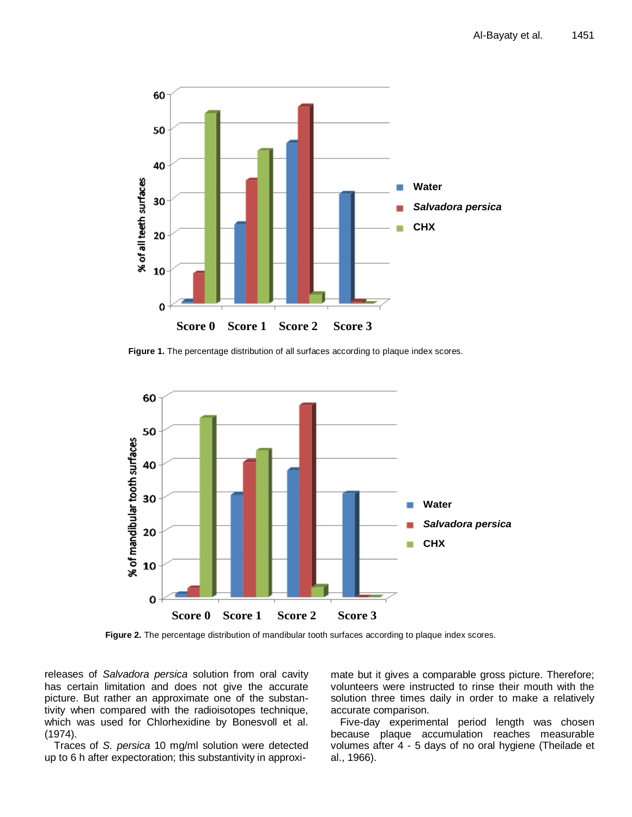

**Figure 1.** The percentage distribution of all surfaces according to plaque index scores.



 **Figure 2.** The percentage distribution of mandibular tooth surfaces according to plaque index scores.

releases of *Salvadora persica* solution from oral cavity has certain limitation and does not give the accurate picture. But rather an approximate one of the substantivity when compared with the radioisotopes technique, which was used for Chlorhexidine by Bonesvoll et al. (1974).

Traces of *S. persica* 10 mg/ml solution were detected up to 6 h after expectoration; this substantivity in approximate but it gives a comparable gross picture. Therefore; volunteers were instructed to rinse their mouth with the solution three times daily in order to make a relatively accurate comparison.

Five-day experimental period length was chosen because plaque accumulation reaches measurable volumes after 4 - 5 days of no oral hygiene (Theilade et al., 1966).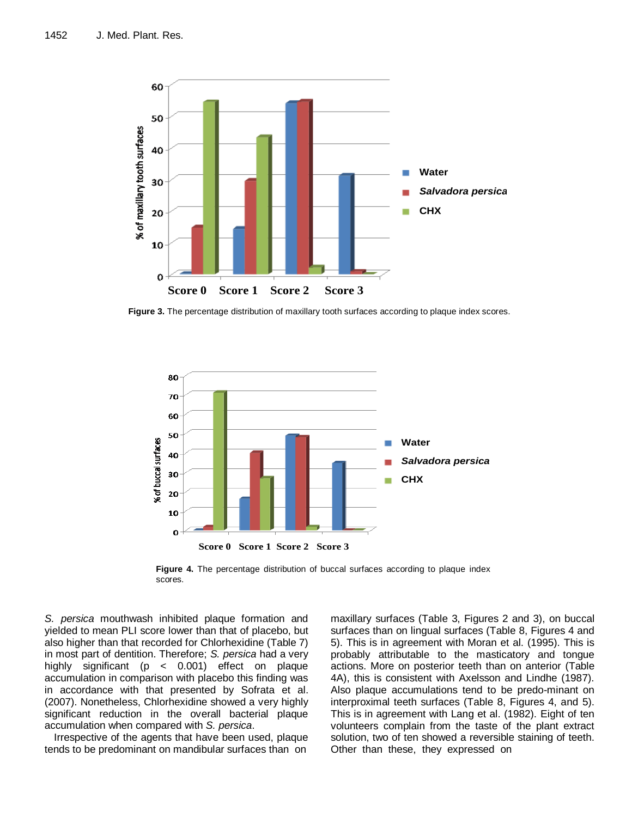

**Figure 3.** The percentage distribution of maxillary tooth surfaces according to plaque index scores.



**Figure 4.** The percentage distribution of buccal surfaces according to plaque index scores.

*S. persica* mouthwash inhibited plaque formation and yielded to mean PLI score lower than that of placebo, but also higher than that recorded for Chlorhexidine (Table 7) in most part of dentition. Therefore; *S. persica* had a very highly significant (p < 0.001) effect on plaque accumulation in comparison with placebo this finding was in accordance with that presented by Sofrata et al. (2007). Nonetheless, Chlorhexidine showed a very highly significant reduction in the overall bacterial plaque accumulation when compared with *S. persica*.

Irrespective of the agents that have been used, plaque tends to be predominant on mandibular surfaces than on

maxillary surfaces (Table 3, Figures 2 and 3), on buccal surfaces than on lingual surfaces (Table 8, Figures 4 and 5). This is in agreement with Moran et al. (1995). This is probably attributable to the masticatory and tongue actions. More on posterior teeth than on anterior (Table 4A), this is consistent with Axelsson and Lindhe (1987). Also plaque accumulations tend to be predo-minant on interproximal teeth surfaces (Table 8, Figures 4, and 5). This is in agreement with Lang et al. (1982). Eight of ten volunteers complain from the taste of the plant extract solution, two of ten showed a reversible staining of teeth. Other than these, they expressed on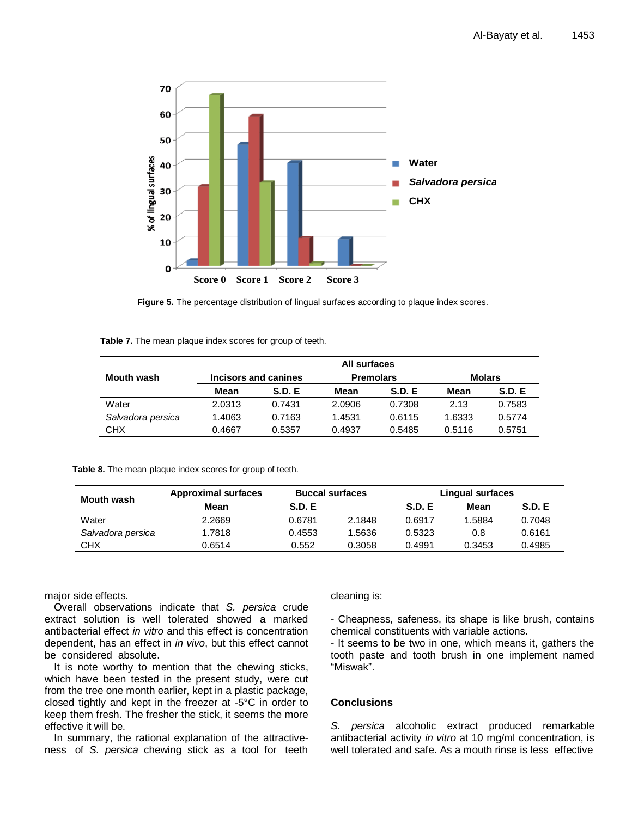

**Figure 5.** The percentage distribution of lingual surfaces according to plaque index scores.

**Table 7.** The mean plaque index scores for group of teeth.

|                   |        |                      | All surfaces     |               |               |        |
|-------------------|--------|----------------------|------------------|---------------|---------------|--------|
| Mouth wash        |        | Incisors and canines | <b>Premolars</b> |               | <b>Molars</b> |        |
|                   | Mean   | S.D.E                | Mean             | <b>S.D. E</b> | Mean          | S.D. E |
| Water             | 2.0313 | 0.7431               | 2.0906           | 0.7308        | 2.13          | 0.7583 |
| Salvadora persica | 1.4063 | 0.7163               | 1.4531           | 0.6115        | 1.6333        | 0.5774 |
| CHX               | 0.4667 | 0.5357               | 0.4937           | 0.5485        | 0.5116        | 0.5751 |

**Table 8.** The mean plaque index scores for group of teeth.

|                   | <b>Approximal surfaces</b> | <b>Buccal surfaces</b> |        |               | Lingual surfaces |        |
|-------------------|----------------------------|------------------------|--------|---------------|------------------|--------|
| <b>Mouth wash</b> | Mean                       | <b>S.D. E</b>          |        | <b>S.D. E</b> | Mean             | S.D. E |
| Water             | 2.2669                     | 0.6781                 | 2.1848 | 0.6917        | 1.5884           | 0.7048 |
| Salvadora persica | 1.7818                     | 0.4553                 | 1.5636 | 0.5323        | 0.8              | 0.6161 |
| <b>CHX</b>        | 0.6514                     | 0.552                  | 0.3058 | 0.4991        | 0.3453           | 0.4985 |

major side effects.

Overall observations indicate that *S. persica* crude extract solution is well tolerated showed a marked antibacterial effect *in vitro* and this effect is concentration dependent, has an effect in *in vivo*, but this effect cannot be considered absolute.

It is note worthy to mention that the chewing sticks, which have been tested in the present study, were cut from the tree one month earlier, kept in a plastic package, closed tightly and kept in the freezer at -5°C in order to keep them fresh. The fresher the stick, it seems the more effective it will be.

In summary, the rational explanation of the attractiveness of *S. persica* chewing stick as a tool for teeth

## cleaning is:

- Cheapness, safeness, its shape is like brush, contains chemical constituents with variable actions.

- It seems to be two in one, which means it, gathers the tooth paste and tooth brush in one implement named "Miswak".

# **Conclusions**

*S. persica* alcoholic extract produced remarkable antibacterial activity *in vitro* at 10 mg/ml concentration, is well tolerated and safe. As a mouth rinse is less effective